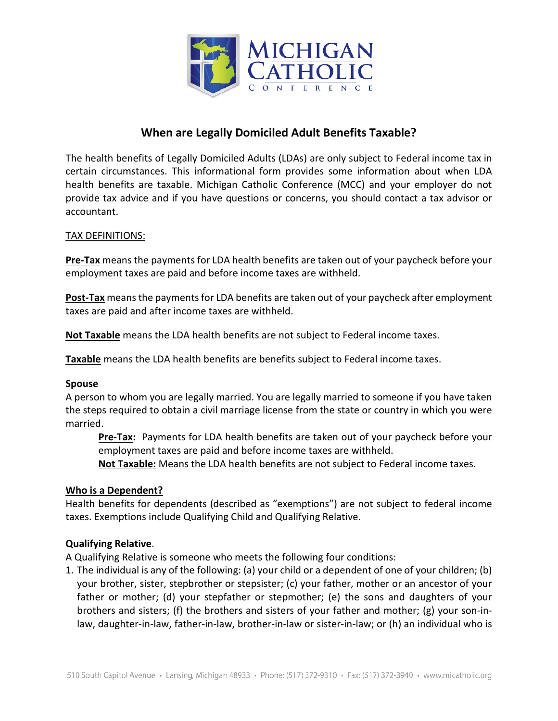

# **When are Legally Domiciled Adult Benefits Taxable?**

The health benefits of Legally Domiciled Adults (LDAs) are only subject to Federal income tax in certain circumstances. This informational form provides some information about when LDA health benefits are taxable. Michigan Catholic Conference (MCC) and your employer do not provide tax advice and if you have questions or concerns, you should contact a tax advisor or accountant.

### TAX DEFINITIONS:

**Pre-Tax** means the payments for LDA health benefits are taken out of your paycheck before your employment taxes are paid and before income taxes are withheld.

**Post-Tax** means the payments for LDA benefits are taken out of your paycheck after employment taxes are paid and after income taxes are withheld.

**Not Taxable** means the LDA health benefits are not subject to Federal income taxes.

**Taxable** means the LDA health benefits are benefits subject to Federal income taxes.

#### **Spouse**

A person to whom you are legally married. You are legally married to someone if you have taken the steps required to obtain a civil marriage license from the state or country in which you were married.

**Pre-Tax:** Payments for LDA health benefits are taken out of your paycheck before your employment taxes are paid and before income taxes are withheld.

**Not Taxable:** Means the LDA health benefits are not subject to Federal income taxes.

#### **Who is a Dependent?**

Health benefits for dependents (described as "exemptions") are not subject to federal income taxes. Exemptions include Qualifying Child and Qualifying Relative.

#### **Qualifying Relative**.

A Qualifying Relative is someone who meets the following four conditions:

1. The individual is any of the following: (a) your child or a dependent of one of your children; (b) your brother, sister, stepbrother or stepsister; (c) your father, mother or an ancestor of your father or mother; (d) your stepfather or stepmother; (e) the sons and daughters of your brothers and sisters; (f) the brothers and sisters of your father and mother; (g) your son-inlaw, daughter-in-law, father-in-law, brother-in-law or sister-in-law; or (h) an individual who is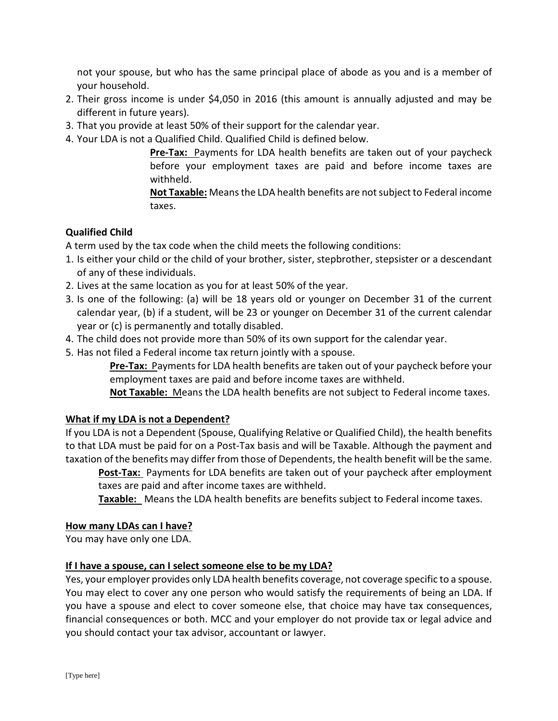not your spouse, but who has the same principal place of abode as you and is a member of your household.

- 2. Their gross income is under \$4,050 in 2016 (this amount is annually adjusted and may be different in future years).
- 3. That you provide at least 50% of their support for the calendar year.
- 4. Your LDA is not a Qualified Child. Qualified Child is defined below.

**Pre-Tax:** Payments for LDA health benefits are taken out of your paycheck before your employment taxes are paid and before income taxes are withheld.

**Not Taxable:** Means the LDA health benefits are not subject to Federal income taxes.

## **Qualified Child**

A term used by the tax code when the child meets the following conditions:

- 1. Is either your child or the child of your brother, sister, stepbrother, stepsister or a descendant of any of these individuals.
- 2. Lives at the same location as you for at least 50% of the year.
- 3. Is one of the following: (a) will be 18 years old or younger on December 31 of the current calendar year, (b) if a student, will be 23 or younger on December 31 of the current calendar year or (c) is permanently and totally disabled.
- 4. The child does not provide more than 50% of its own support for the calendar year.
- 5. Has not filed a Federal income tax return jointly with a spouse.

**Pre-Tax:** Payments for LDA health benefits are taken out of your paycheck before your employment taxes are paid and before income taxes are withheld.

**Not Taxable:** Means the LDA health benefits are not subject to Federal income taxes.

## **What if my LDA is not a Dependent?**

If you LDA is not a Dependent (Spouse, Qualifying Relative or Qualified Child), the health benefits to that LDA must be paid for on a Post-Tax basis and will be Taxable. Although the payment and taxation of the benefits may differ from those of Dependents, the health benefit will be the same.

**Post-Tax:** Payments for LDA benefits are taken out of your paycheck after employment taxes are paid and after income taxes are withheld.

**Taxable:** Means the LDA health benefits are benefits subject to Federal income taxes.

#### **How many LDAs can I have?**

You may have only one LDA.

## **If I have a spouse, can I select someone else to be my LDA?**

Yes, your employer provides only LDA health benefits coverage, not coverage specific to a spouse. You may elect to cover any one person who would satisfy the requirements of being an LDA. If you have a spouse and elect to cover someone else, that choice may have tax consequences, financial consequences or both. MCC and your employer do not provide tax or legal advice and you should contact your tax advisor, accountant or lawyer.